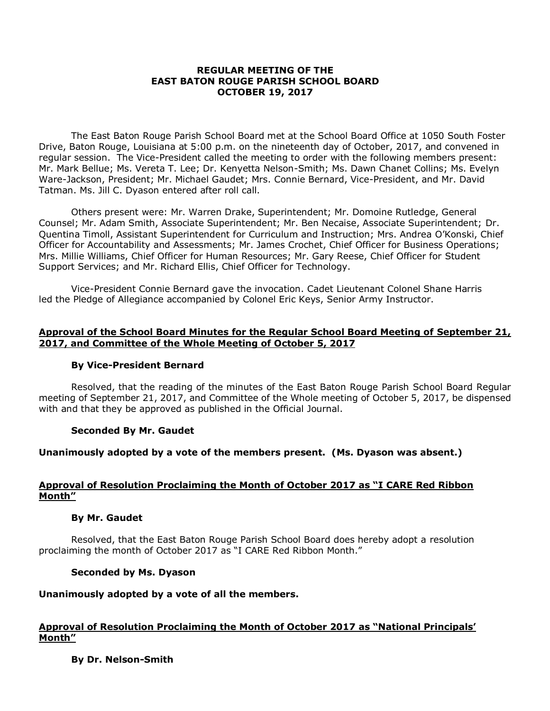### **REGULAR MEETING OF THE EAST BATON ROUGE PARISH SCHOOL BOARD OCTOBER 19, 2017**

The East Baton Rouge Parish School Board met at the School Board Office at 1050 South Foster Drive, Baton Rouge, Louisiana at 5:00 p.m. on the nineteenth day of October, 2017, and convened in regular session. The Vice-President called the meeting to order with the following members present: Mr. Mark Bellue; Ms. Vereta T. Lee; Dr. Kenyetta Nelson-Smith; Ms. Dawn Chanet Collins; Ms. Evelyn Ware-Jackson, President; Mr. Michael Gaudet; Mrs. Connie Bernard, Vice-President, and Mr. David Tatman. Ms. Jill C. Dyason entered after roll call.

Others present were: Mr. Warren Drake, Superintendent; Mr. Domoine Rutledge, General Counsel; Mr. Adam Smith, Associate Superintendent; Mr. Ben Necaise, Associate Superintendent; Dr. Quentina Timoll, Assistant Superintendent for Curriculum and Instruction; Mrs. Andrea O'Konski, Chief Officer for Accountability and Assessments; Mr. James Crochet, Chief Officer for Business Operations; Mrs. Millie Williams, Chief Officer for Human Resources; Mr. Gary Reese, Chief Officer for Student Support Services; and Mr. Richard Ellis, Chief Officer for Technology.

Vice-President Connie Bernard gave the invocation. Cadet Lieutenant Colonel Shane Harris led the Pledge of Allegiance accompanied by Colonel Eric Keys, Senior Army Instructor.

### **Approval of the School Board Minutes for the Regular School Board Meeting of September 21, 2017, and Committee of the Whole Meeting of October 5, 2017**

### **By Vice-President Bernard**

Resolved, that the reading of the minutes of the East Baton Rouge Parish School Board Regular meeting of September 21, 2017, and Committee of the Whole meeting of October 5, 2017, be dispensed with and that they be approved as published in the Official Journal.

### **Seconded By Mr. Gaudet**

#### **Unanimously adopted by a vote of the members present. (Ms. Dyason was absent.)**

### **Approval of Resolution Proclaiming the Month of October 2017 as "I CARE Red Ribbon Month"**

#### **By Mr. Gaudet**

Resolved, that the East Baton Rouge Parish School Board does hereby adopt a resolution proclaiming the month of October 2017 as "I CARE Red Ribbon Month."

#### **Seconded by Ms. Dyason**

### **Unanimously adopted by a vote of all the members.**

### **Approval of Resolution Proclaiming the Month of October 2017 as "National Principals' Month"**

### **By Dr. Nelson-Smith**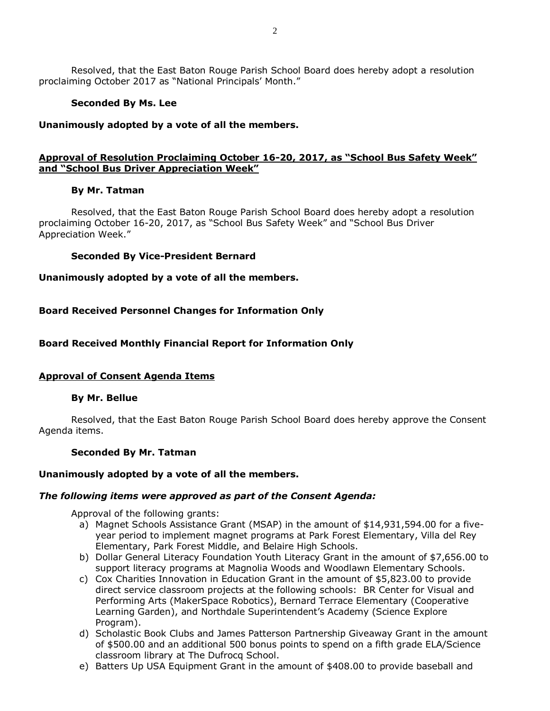Resolved, that the East Baton Rouge Parish School Board does hereby adopt a resolution proclaiming October 2017 as "National Principals' Month."

### **Seconded By Ms. Lee**

### **Unanimously adopted by a vote of all the members.**

# **Approval of Resolution Proclaiming October 16-20, 2017, as "School Bus Safety Week" and "School Bus Driver Appreciation Week"**

# **By Mr. Tatman**

Resolved, that the East Baton Rouge Parish School Board does hereby adopt a resolution proclaiming October 16-20, 2017, as "School Bus Safety Week" and "School Bus Driver Appreciation Week."

# **Seconded By Vice-President Bernard**

# **Unanimously adopted by a vote of all the members.**

# **Board Received Personnel Changes for Information Only**

# **Board Received Monthly Financial Report for Information Only**

# **Approval of Consent Agenda Items**

### **By Mr. Bellue**

Resolved, that the East Baton Rouge Parish School Board does hereby approve the Consent Agenda items.

### **Seconded By Mr. Tatman**

### **Unanimously adopted by a vote of all the members.**

### *The following items were approved as part of the Consent Agenda:*

Approval of the following grants:

- a) Magnet Schools Assistance Grant (MSAP) in the amount of \$14,931,594.00 for a fiveyear period to implement magnet programs at Park Forest Elementary, Villa del Rey Elementary, Park Forest Middle, and Belaire High Schools.
- b) Dollar General Literacy Foundation Youth Literacy Grant in the amount of \$7,656.00 to support literacy programs at Magnolia Woods and Woodlawn Elementary Schools.
- c) Cox Charities Innovation in Education Grant in the amount of \$5,823.00 to provide direct service classroom projects at the following schools: BR Center for Visual and Performing Arts (MakerSpace Robotics), Bernard Terrace Elementary (Cooperative Learning Garden), and Northdale Superintendent's Academy (Science Explore Program).
- d) Scholastic Book Clubs and James Patterson Partnership Giveaway Grant in the amount of \$500.00 and an additional 500 bonus points to spend on a fifth grade ELA/Science classroom library at The Dufrocq School.
- e) Batters Up USA Equipment Grant in the amount of \$408.00 to provide baseball and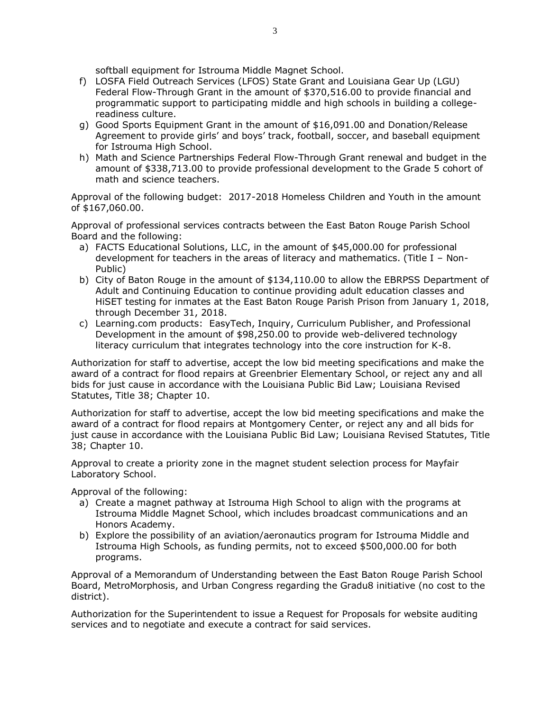softball equipment for Istrouma Middle Magnet School.

- f) LOSFA Field Outreach Services (LFOS) State Grant and Louisiana Gear Up (LGU) Federal Flow-Through Grant in the amount of \$370,516.00 to provide financial and programmatic support to participating middle and high schools in building a collegereadiness culture.
- g) Good Sports Equipment Grant in the amount of \$16,091.00 and Donation/Release Agreement to provide girls' and boys' track, football, soccer, and baseball equipment for Istrouma High School.
- h) Math and Science Partnerships Federal Flow-Through Grant renewal and budget in the amount of \$338,713.00 to provide professional development to the Grade 5 cohort of math and science teachers.

Approval of the following budget: 2017-2018 Homeless Children and Youth in the amount of \$167,060.00.

Approval of professional services contracts between the East Baton Rouge Parish School Board and the following:

- a) FACTS Educational Solutions, LLC, in the amount of \$45,000.00 for professional development for teachers in the areas of literacy and mathematics. (Title I – Non-Public)
- b) City of Baton Rouge in the amount of \$134,110.00 to allow the EBRPSS Department of Adult and Continuing Education to continue providing adult education classes and HiSET testing for inmates at the East Baton Rouge Parish Prison from January 1, 2018, through December 31, 2018.
- c) Learning.com products: EasyTech, Inquiry, Curriculum Publisher, and Professional Development in the amount of \$98,250.00 to provide web-delivered technology literacy curriculum that integrates technology into the core instruction for K-8.

Authorization for staff to advertise, accept the low bid meeting specifications and make the award of a contract for flood repairs at Greenbrier Elementary School, or reject any and all bids for just cause in accordance with the Louisiana Public Bid Law; Louisiana Revised Statutes, Title 38; Chapter 10.

Authorization for staff to advertise, accept the low bid meeting specifications and make the award of a contract for flood repairs at Montgomery Center, or reject any and all bids for just cause in accordance with the Louisiana Public Bid Law; Louisiana Revised Statutes, Title 38; Chapter 10.

Approval to create a priority zone in the magnet student selection process for Mayfair Laboratory School.

Approval of the following:

- a) Create a magnet pathway at Istrouma High School to align with the programs at Istrouma Middle Magnet School, which includes broadcast communications and an Honors Academy.
- b) Explore the possibility of an aviation/aeronautics program for Istrouma Middle and Istrouma High Schools, as funding permits, not to exceed \$500,000.00 for both programs.

Approval of a Memorandum of Understanding between the East Baton Rouge Parish School Board, MetroMorphosis, and Urban Congress regarding the Gradu8 initiative (no cost to the district).

Authorization for the Superintendent to issue a Request for Proposals for website auditing services and to negotiate and execute a contract for said services.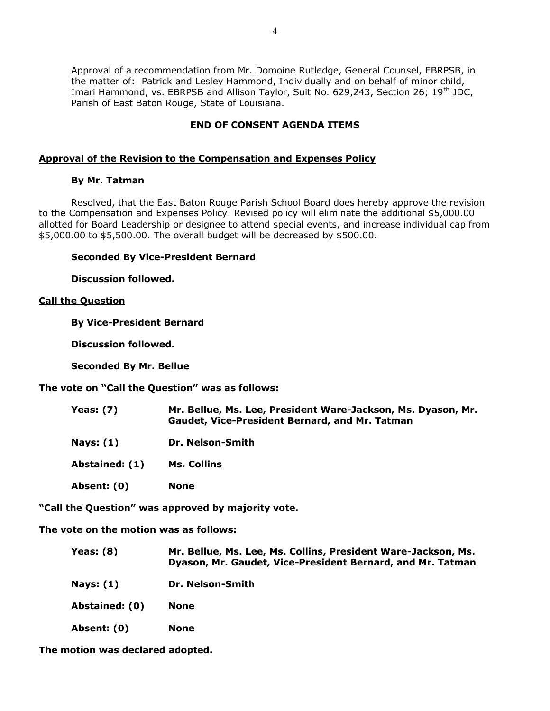Approval of a recommendation from Mr. Domoine Rutledge, General Counsel, EBRPSB, in the matter of: Patrick and Lesley Hammond, Individually and on behalf of minor child, Imari Hammond, vs. EBRPSB and Allison Taylor, Suit No. 629,243, Section 26; 19<sup>th</sup> JDC, Parish of East Baton Rouge, State of Louisiana.

# **END OF CONSENT AGENDA ITEMS**

# **Approval of the Revision to the Compensation and Expenses Policy**

### **By Mr. Tatman**

Resolved, that the East Baton Rouge Parish School Board does hereby approve the revision to the Compensation and Expenses Policy. Revised policy will eliminate the additional \$5,000.00 allotted for Board Leadership or designee to attend special events, and increase individual cap from \$5,000.00 to \$5,500.00. The overall budget will be decreased by \$500.00.

# **Seconded By Vice-President Bernard**

**Discussion followed.**

# **Call the Question**

**By Vice-President Bernard**

**Discussion followed.**

**Seconded By Mr. Bellue**

**The vote on "Call the Question" was as follows:**

| <b>Yeas: (7)</b> | Mr. Bellue, Ms. Lee, President Ware-Jackson, Ms. Dyason, Mr.<br><b>Gaudet, Vice-President Bernard, and Mr. Tatman</b> |
|------------------|-----------------------------------------------------------------------------------------------------------------------|
| <b>Nays: (1)</b> | Dr. Nelson-Smith                                                                                                      |
| Abstained: (1)   | Ms. Collins                                                                                                           |
| Absent: (0)      | <b>None</b>                                                                                                           |

**"Call the Question" was approved by majority vote.**

**The vote on the motion was as follows:**

| Yeas: $(8)$ | Mr. Bellue, Ms. Lee, Ms. Collins, President Ware-Jackson, Ms. |
|-------------|---------------------------------------------------------------|
|             | Dyason, Mr. Gaudet, Vice-President Bernard, and Mr. Tatman    |

- **Nays: (1) Dr. Nelson-Smith**
- **Abstained: (0) None**
- **Absent: (0) None**

**The motion was declared adopted.**